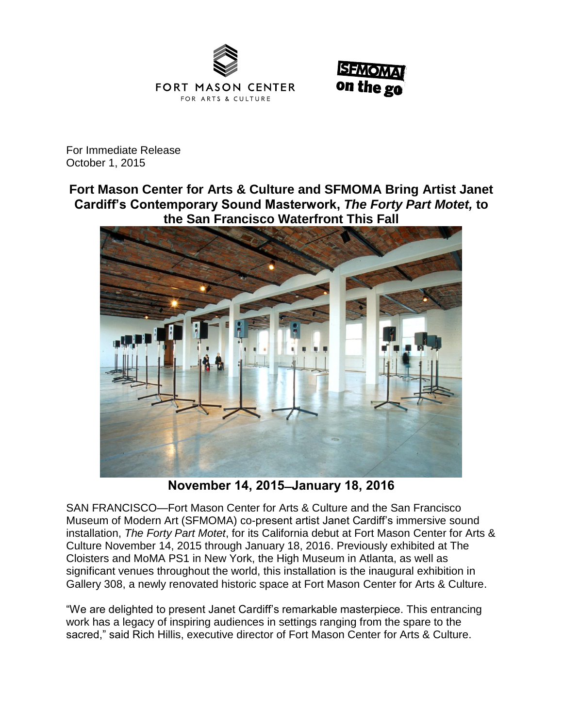



For Immediate Release October 1, 2015

**Fort Mason Center for Arts & Culture and SFMOMA Bring Artist Janet Cardiff's Contemporary Sound Masterwork,** *The Forty Part Motet,* **to the San Francisco Waterfront This Fall**



**November 14, 2015 ̶ January 18, 2016**

SAN FRANCISCO—Fort Mason Center for Arts & Culture and the San Francisco Museum of Modern Art (SFMOMA) co-present artist Janet Cardiff's immersive sound installation, *The Forty Part Motet*, for its California debut at Fort Mason Center for Arts & Culture November 14, 2015 through January 18, 2016. Previously exhibited at The Cloisters and MoMA PS1 in New York, the High Museum in Atlanta, as well as significant venues throughout the world, this installation is the inaugural exhibition in Gallery 308, a newly renovated historic space at Fort Mason Center for Arts & Culture.

"We are delighted to present Janet Cardiff's remarkable masterpiece. This entrancing work has a legacy of inspiring audiences in settings ranging from the spare to the sacred," said Rich Hillis, executive director of Fort Mason Center for Arts & Culture.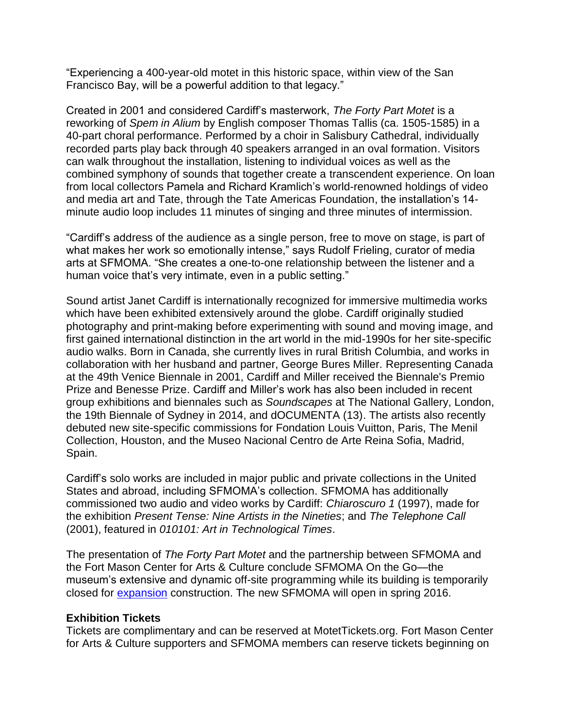"Experiencing a 400-year-old motet in this historic space, within view of the San Francisco Bay, will be a powerful addition to that legacy."

Created in 2001 and considered Cardiff's masterwork, *The Forty Part Motet* is a reworking of *Spem in Alium* by English composer Thomas Tallis (ca. 1505-1585) in a 40-part choral performance. Performed by a choir in Salisbury Cathedral, individually recorded parts play back through 40 speakers arranged in an oval formation. Visitors can walk throughout the installation, listening to individual voices as well as the combined symphony of sounds that together create a transcendent experience. On loan from local collectors Pamela and Richard Kramlich's world-renowned holdings of video and media art and Tate, through the Tate Americas Foundation, the installation's 14 minute audio loop includes 11 minutes of singing and three minutes of intermission.

"Cardiff's address of the audience as a single person, free to move on stage, is part of what makes her work so emotionally intense," says Rudolf Frieling, curator of media arts at SFMOMA. "She creates a one-to-one relationship between the listener and a human voice that's very intimate, even in a public setting."

Sound artist Janet Cardiff is internationally recognized for immersive multimedia works which have been exhibited extensively around the globe. Cardiff originally studied photography and print-making before experimenting with sound and moving image, and first gained international distinction in the art world in the mid-1990s for her site-specific audio walks. Born in Canada, she currently lives in rural British Columbia, and works in collaboration with her husband and partner, George Bures Miller. Representing Canada at the 49th Venice Biennale in 2001, Cardiff and Miller received the Biennale's Premio Prize and Benesse Prize. Cardiff and Miller's work has also been included in recent group exhibitions and biennales such as *Soundscapes* at The National Gallery, London, the 19th Biennale of Sydney in 2014, and dOCUMENTA (13). The artists also recently debuted new site-specific commissions for Fondation Louis Vuitton, Paris, The Menil Collection, Houston, and the Museo Nacional Centro de Arte Reina Sofia, Madrid, Spain.

Cardiff's solo works are included in major public and private collections in the United States and abroad, including SFMOMA's collection. SFMOMA has additionally commissioned two audio and video works by Cardiff: *Chiaroscuro 1* (1997), made for the exhibition *Present Tense: Nine Artists in the Nineties*; and *The Telephone Call* (2001), featured in *010101: Art in Technological Times*.

The presentation of *The Forty Part Motet* and the partnership between SFMOMA and the Fort Mason Center for Arts & Culture conclude SFMOMA On the Go—the museum's extensive and dynamic off-site programming while its building is temporarily closed for [expansion](http://future.sfmoma.org/) construction. The new SFMOMA will open in spring 2016.

# **Exhibition Tickets**

Tickets are complimentary and can be reserved at MotetTickets.org. Fort Mason Center for Arts & Culture supporters and SFMOMA members can reserve tickets beginning on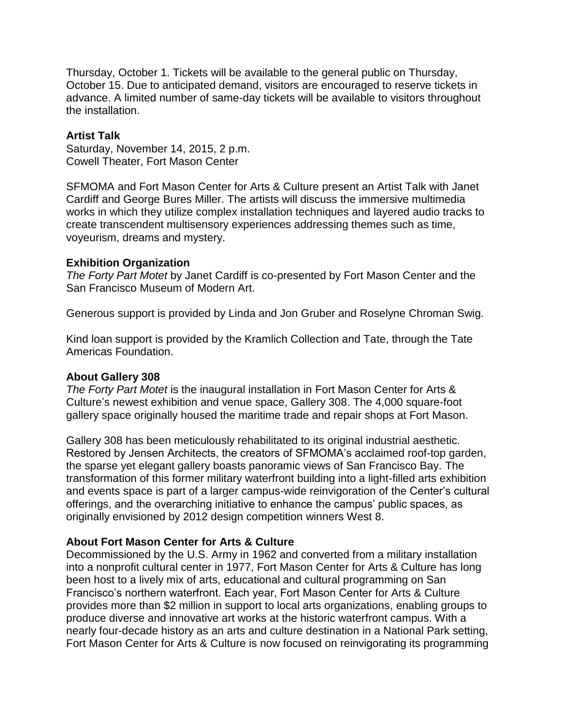Thursday, October 1. Tickets will be available to the general public on Thursday, October 15. Due to anticipated demand, visitors are encouraged to reserve tickets in advance. A limited number of same-day tickets will be available to visitors throughout the installation.

### **Artist Talk**

Saturday, November 14, 2015, 2 p.m. Cowell Theater, Fort Mason Center

SFMOMA and Fort Mason Center for Arts & Culture present an Artist Talk with Janet Cardiff and George Bures Miller. The artists will discuss the immersive multimedia works in which they utilize complex installation techniques and layered audio tracks to create transcendent multisensory experiences addressing themes such as time, voyeurism, dreams and mystery.

### **Exhibition Organization**

*The Forty Part Motet* by Janet Cardiff is co-presented by Fort Mason Center and the San Francisco Museum of Modern Art.

Generous support is provided by Linda and Jon Gruber and Roselyne Chroman Swig.

Kind loan support is provided by the Kramlich Collection and Tate, through the Tate Americas Foundation.

# **About Gallery 308**

*The Forty Part Motet* is the inaugural installation in Fort Mason Center for Arts & Culture's newest exhibition and venue space, Gallery 308. The 4,000 square-foot gallery space originally housed the maritime trade and repair shops at Fort Mason.

Gallery 308 has been meticulously rehabilitated to its original industrial aesthetic. Restored by Jensen Architects, the creators of SFMOMA's acclaimed roof-top garden, the sparse yet elegant gallery boasts panoramic views of San Francisco Bay. The transformation of this former military waterfront building into a light-filled arts exhibition and events space is part of a larger campus-wide reinvigoration of the Center's cultural offerings, and the overarching initiative to enhance the campus' public spaces, as originally envisioned by 2012 design competition winners West 8.

# **About Fort Mason Center for Arts & Culture**

Decommissioned by the U.S. Army in 1962 and converted from a military installation into a nonprofit cultural center in 1977, Fort Mason Center for Arts & Culture has long been host to a lively mix of arts, educational and cultural programming on San Francisco's northern waterfront. Each year, Fort Mason Center for Arts & Culture provides more than \$2 million in support to local arts organizations, enabling groups to produce diverse and innovative art works at the historic waterfront campus. With a nearly four-decade history as an arts and culture destination in a National Park setting, Fort Mason Center for Arts & Culture is now focused on reinvigorating its programming